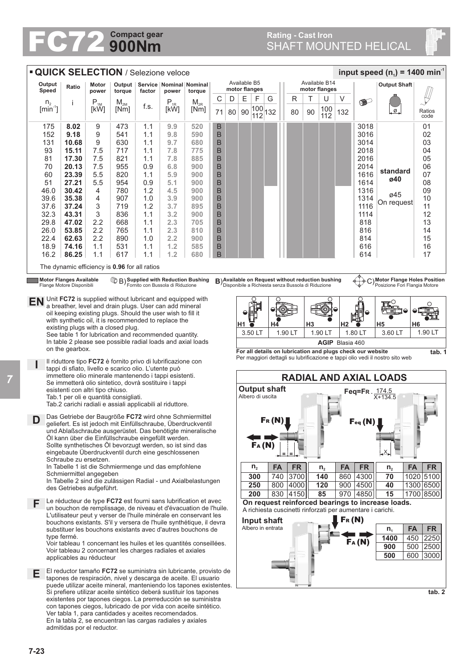## **900Nm FC72** Compact gear<br>
SHAFT MOUNTED HELICAL

## **Rating - Cast Iron<br>SHAFT MOUNTED HELICAL**

| <b>QUICK SELECTION / Selezione veloce</b><br>input speed (n <sub>1</sub> ) = 1400 min <sup>-1</sup>                                                                                                                                                                    |                                                                                                                |                                                             |                            |                            |                                                                                                                      |            |                                                                                                                            |        |    |                                                                            |                               |                                                                                                         |           |                                |    |            |     |                                                            |                                                                 |                |  |  |
|------------------------------------------------------------------------------------------------------------------------------------------------------------------------------------------------------------------------------------------------------------------------|----------------------------------------------------------------------------------------------------------------|-------------------------------------------------------------|----------------------------|----------------------------|----------------------------------------------------------------------------------------------------------------------|------------|----------------------------------------------------------------------------------------------------------------------------|--------|----|----------------------------------------------------------------------------|-------------------------------|---------------------------------------------------------------------------------------------------------|-----------|--------------------------------|----|------------|-----|------------------------------------------------------------|-----------------------------------------------------------------|----------------|--|--|
|                                                                                                                                                                                                                                                                        | Output<br>Ratio<br>Speed                                                                                       |                                                             | Motor<br>power             | Output<br>torque           | Service   Nominal   Nominal   <br>factor<br>power                                                                    |            | torque                                                                                                                     |        |    |                                                                            | Available B5<br>motor flanges |                                                                                                         |           | Available B14<br>motor flanges |    |            |     |                                                            | <b>Output Shaft</b>                                             |                |  |  |
|                                                                                                                                                                                                                                                                        | n <sub>2</sub>                                                                                                 | J.                                                          | $\mathsf{P}_{\textsc{1M}}$ | $\mathsf{M}_{\mathsf{2M}}$ |                                                                                                                      | $P_{1R}$   | $\mathsf{M}_{\mathsf{2R}}$                                                                                                 | С      | D  | E                                                                          | F                             | G                                                                                                       |           | R                              | Т  | U          | V   | $\bullet$                                                  |                                                                 |                |  |  |
|                                                                                                                                                                                                                                                                        | $[min^{-1}]$                                                                                                   |                                                             | [kW]                       | [Nm]                       | f.s.                                                                                                                 | [kW]       | [Nm]                                                                                                                       | 71     | 80 | 90                                                                         | 100<br>112                    | 132                                                                                                     |           | 80                             | 90 | 100<br>112 | 132 |                                                            | ຼØຼ                                                             | Ratios<br>code |  |  |
|                                                                                                                                                                                                                                                                        | 175                                                                                                            | 8.02                                                        | 9                          | 473                        | 1.1                                                                                                                  | 9.9        | 520                                                                                                                        | Β      |    |                                                                            |                               |                                                                                                         |           |                                |    |            |     | 3018                                                       |                                                                 | 01             |  |  |
|                                                                                                                                                                                                                                                                        | 152<br>131                                                                                                     | 9.18<br>10.68                                               | 9<br>9                     | 541<br>630                 | 1.1<br>1.1                                                                                                           | 9.8<br>9.7 | 590<br>680                                                                                                                 | B<br>B |    |                                                                            |                               |                                                                                                         |           |                                |    |            |     | 3016<br>3014                                               |                                                                 | 02<br>03       |  |  |
|                                                                                                                                                                                                                                                                        | 93                                                                                                             | 15.11                                                       | 7.5                        | 717                        | 1.1                                                                                                                  | 7.8        | 775                                                                                                                        | B      |    |                                                                            |                               |                                                                                                         |           |                                |    |            |     | 2018                                                       |                                                                 | 04             |  |  |
|                                                                                                                                                                                                                                                                        | 81                                                                                                             | 17.30                                                       | 7.5                        | 821                        | 1.1                                                                                                                  | 7.8        | 885                                                                                                                        | B      |    |                                                                            |                               |                                                                                                         |           |                                |    |            |     | 2016                                                       |                                                                 | 05             |  |  |
|                                                                                                                                                                                                                                                                        | 70                                                                                                             | 20.13                                                       | 7.5                        | 955                        | 0.9                                                                                                                  | 6.8        | 900                                                                                                                        | B      |    |                                                                            |                               |                                                                                                         |           |                                |    |            |     | 2014                                                       | standard                                                        | 06             |  |  |
|                                                                                                                                                                                                                                                                        | 60<br>51                                                                                                       | 23.39<br>27.21                                              | 5.5<br>5.5                 | 820<br>954                 | 1.1<br>0.9                                                                                                           | 5.9<br>5.1 | 900<br>900                                                                                                                 | B<br>B |    |                                                                            |                               |                                                                                                         |           |                                |    |            |     | 1616<br>1614                                               | ø40                                                             | 07<br>08       |  |  |
|                                                                                                                                                                                                                                                                        | 46.0                                                                                                           | 30.42                                                       | $\overline{4}$             | 780                        | 1.2                                                                                                                  | 4.5        | 900                                                                                                                        | B      |    |                                                                            |                               |                                                                                                         |           |                                |    |            |     | 1316                                                       |                                                                 | 09             |  |  |
|                                                                                                                                                                                                                                                                        | 39.6                                                                                                           | 35.38                                                       | 4                          | 907                        | 1.0                                                                                                                  | 3.9        | 900                                                                                                                        | B      |    |                                                                            |                               |                                                                                                         |           |                                |    |            |     | 1314                                                       | ø45                                                             | 10             |  |  |
|                                                                                                                                                                                                                                                                        | 37.6                                                                                                           | 37.24                                                       | 3                          | 719                        | 1.2                                                                                                                  | 3.7        | 895                                                                                                                        | B      |    |                                                                            |                               |                                                                                                         |           |                                |    |            |     | 1116                                                       | On request                                                      | 11             |  |  |
|                                                                                                                                                                                                                                                                        | 32.3<br>29.8                                                                                                   | 43.31<br>47.02                                              | 3<br>2.2                   | 836<br>668                 | 1.1<br>1.1                                                                                                           | 3.2<br>2.3 | 900<br>705                                                                                                                 | B<br>B |    |                                                                            |                               |                                                                                                         |           |                                |    |            |     | 1114<br>818                                                |                                                                 | 12<br>13       |  |  |
|                                                                                                                                                                                                                                                                        | 26.0                                                                                                           | 53.85                                                       | 2.2                        | 765                        | 1.1                                                                                                                  | 2.3        | 810                                                                                                                        | B      |    |                                                                            |                               |                                                                                                         |           |                                |    |            |     | 816                                                        |                                                                 | 14             |  |  |
|                                                                                                                                                                                                                                                                        | 22.4                                                                                                           | 62.63                                                       | 2.2                        | 890                        | 1.0                                                                                                                  | 2.2        | 900                                                                                                                        | B      |    |                                                                            |                               |                                                                                                         |           |                                |    |            |     | 814                                                        |                                                                 | 15             |  |  |
|                                                                                                                                                                                                                                                                        | 18.9                                                                                                           | 74.16                                                       | 1.1                        | 531                        | 1.1                                                                                                                  | 1.2        | 585                                                                                                                        | B      |    |                                                                            |                               |                                                                                                         |           |                                |    |            |     | 616                                                        |                                                                 | 16             |  |  |
|                                                                                                                                                                                                                                                                        | 16.2                                                                                                           | 86.25                                                       | 1.1                        | 617                        | 1.1                                                                                                                  | 1.2        | 680                                                                                                                        | B      |    |                                                                            |                               |                                                                                                         |           |                                |    |            |     | 614                                                        |                                                                 | 17             |  |  |
|                                                                                                                                                                                                                                                                        |                                                                                                                |                                                             |                            |                            | The dynamic efficiency is 0.96 for all ratios                                                                        |            |                                                                                                                            |        |    |                                                                            |                               |                                                                                                         |           |                                |    |            |     |                                                            |                                                                 |                |  |  |
|                                                                                                                                                                                                                                                                        |                                                                                                                | <b>Motor Flanges Available</b><br>Flange Motore Disponibili |                            |                            |                                                                                                                      |            | <sup>1</sup> B) Supplied with Reduction Bushing<br>Fornito con Bussola di Riduzione                                        |        |    |                                                                            |                               | B) Available on Request without reduction bushing<br>Disponibile a Richiesta senza Bussola di Riduzione |           |                                |    |            |     | �⊹-๖                                                       | C) Motor Flange Holes Position<br>Posizione Fori Flangia Motore |                |  |  |
| <b>EN</b>                                                                                                                                                                                                                                                              |                                                                                                                |                                                             |                            |                            | Unit FC72 is supplied without lubricant and equipped with<br>a breather, level and drain plugs. User can add mineral |            |                                                                                                                            |        |    |                                                                            |                               | O                                                                                                       |           |                                |    |            |     |                                                            |                                                                 |                |  |  |
|                                                                                                                                                                                                                                                                        |                                                                                                                |                                                             |                            |                            | oil keeping existing plugs. Should the user wish to fill it                                                          |            |                                                                                                                            |        |    |                                                                            |                               |                                                                                                         |           |                                |    |            |     |                                                            |                                                                 |                |  |  |
| with synthetic oil, it is recommended to replace the<br>H <sub>3</sub><br>H2<br>H5<br>H <sub>6</sub><br>Η1<br>Η4<br>existing plugs with a closed plug.<br>1.80 LT<br>3.50 LT<br>1.90 LT<br>3.60 LT<br>1.90 LT<br>See table 1 for lubrication and recommended quantity. |                                                                                                                |                                                             |                            |                            |                                                                                                                      |            |                                                                                                                            |        |    |                                                                            |                               |                                                                                                         |           |                                |    |            |     |                                                            |                                                                 |                |  |  |
|                                                                                                                                                                                                                                                                        |                                                                                                                |                                                             |                            |                            |                                                                                                                      |            |                                                                                                                            |        |    |                                                                            |                               | 1.90 LT                                                                                                 |           |                                |    |            |     |                                                            |                                                                 |                |  |  |
| In table 2 please see possible radial loads and axial loads<br>AGIP Blasia 460                                                                                                                                                                                         |                                                                                                                |                                                             |                            |                            |                                                                                                                      |            |                                                                                                                            |        |    |                                                                            |                               |                                                                                                         |           |                                |    |            |     |                                                            |                                                                 |                |  |  |
| on the gearbox.<br>For all details on lubrication and plugs check our website<br>Per maggiori dettagli su lubrificazione e tappi olio vedi il nostro sito web                                                                                                          |                                                                                                                |                                                             |                            |                            |                                                                                                                      |            |                                                                                                                            |        |    |                                                                            |                               |                                                                                                         |           | tab. 1                         |    |            |     |                                                            |                                                                 |                |  |  |
| Il riduttore tipo FC72 è fornito privo di lubrificazione con<br>tappi di sfiato, livello e scarico olio. L'utente può                                                                                                                                                  |                                                                                                                |                                                             |                            |                            |                                                                                                                      |            |                                                                                                                            |        |    |                                                                            |                               |                                                                                                         |           |                                |    |            |     |                                                            |                                                                 |                |  |  |
|                                                                                                                                                                                                                                                                        | immettere olio minerale mantenendo i tappi esistenti.<br>Se immetterà olio sintetico, dovrà sostituire i tappi |                                                             |                            |                            |                                                                                                                      |            |                                                                                                                            |        |    |                                                                            | <b>RADIAL AND AXIAL LOADS</b> |                                                                                                         |           |                                |    |            |     |                                                            |                                                                 |                |  |  |
| esistenti con altri tipo chiuso.<br>Tab.1 per oli e quantità consigliati.                                                                                                                                                                                              |                                                                                                                |                                                             |                            |                            |                                                                                                                      |            |                                                                                                                            |        |    | <b>Output shaft</b><br>Feq=FR. $\frac{174.5}{X+134.5}$<br>Albero di uscita |                               |                                                                                                         |           |                                |    |            |     |                                                            |                                                                 |                |  |  |
|                                                                                                                                                                                                                                                                        |                                                                                                                |                                                             |                            |                            | Tab.2 carichi radiali e assiali applicabili al riduttore.                                                            |            |                                                                                                                            |        |    |                                                                            |                               |                                                                                                         |           |                                |    |            |     |                                                            |                                                                 |                |  |  |
|                                                                                                                                                                                                                                                                        |                                                                                                                |                                                             |                            |                            |                                                                                                                      |            | Das Getriebe der Baugröße FC72 wird ohne Schmiermittel                                                                     |        |    |                                                                            |                               |                                                                                                         |           |                                |    |            |     | Feq (N                                                     |                                                                 |                |  |  |
|                                                                                                                                                                                                                                                                        |                                                                                                                |                                                             |                            |                            |                                                                                                                      |            | geliefert. Es ist jedoch mit Einfüllschraube, Überdruckventil<br>und Ablaßschraube ausgerüstet. Das benötigte mineralische |        |    |                                                                            |                               |                                                                                                         |           |                                |    |            |     |                                                            |                                                                 |                |  |  |
|                                                                                                                                                                                                                                                                        |                                                                                                                |                                                             |                            |                            | Öl kann über die Einfüllschraube eingefüllt werden.                                                                  |            |                                                                                                                            |        |    |                                                                            |                               |                                                                                                         |           |                                |    |            |     |                                                            |                                                                 |                |  |  |
| FA(N)<br>Sollte synthetisches Öl bevorzugt werden, so ist sind das<br>eingebaute Überdruckventil durch eine geschlossenen                                                                                                                                              |                                                                                                                |                                                             |                            |                            |                                                                                                                      |            |                                                                                                                            |        |    |                                                                            |                               |                                                                                                         |           |                                |    |            |     |                                                            |                                                                 |                |  |  |
| Schraube zu ersetzen.<br>In Tabelle 1 ist die Schmiermenge und das empfohlene<br><b>FR</b><br><b>FA</b><br>$n_{2}$<br><b>FA</b><br><b>FA</b><br><b>FR</b><br>$n_{2}$<br>$n_{2}$                                                                                        |                                                                                                                |                                                             |                            |                            |                                                                                                                      |            |                                                                                                                            |        |    |                                                                            |                               |                                                                                                         | <b>FR</b> |                                |    |            |     |                                                            |                                                                 |                |  |  |
|                                                                                                                                                                                                                                                                        | Schmiermittel angegeben                                                                                        |                                                             |                            |                            |                                                                                                                      |            |                                                                                                                            |        |    |                                                                            | 300                           | 740                                                                                                     |           | 3700                           |    | 140        | 860 | 4300                                                       | 70                                                              | 1020 5100      |  |  |
| In Tabelle 2 sind die zulässigen Radial - und Axialbelastungen<br>des Getriebes aufgeführt.                                                                                                                                                                            |                                                                                                                |                                                             |                            |                            |                                                                                                                      |            |                                                                                                                            |        |    |                                                                            | 250                           |                                                                                                         |           | 800 4000                       |    | 120        |     | 900 4500                                                   | 40                                                              | 1300 6500      |  |  |
| Le réducteur de type FC72 est fourni sans lubrification et avec<br>F<br>un bouchon de remplissage, de niveau et d'évacuation de l'huile.                                                                                                                               |                                                                                                                |                                                             |                            |                            |                                                                                                                      |            |                                                                                                                            |        |    |                                                                            | 200                           |                                                                                                         |           | 830 4150                       |    | 85         |     | 970 4850                                                   | 15<br>On request reinforced bearings to increase loads.         | 1700 8500      |  |  |
|                                                                                                                                                                                                                                                                        |                                                                                                                |                                                             |                            |                            |                                                                                                                      |            |                                                                                                                            |        |    |                                                                            |                               |                                                                                                         |           |                                |    |            |     | A richiesta cuscinetti rinforzati per aumentare i carichi. |                                                                 |                |  |  |
| L'utilisateur peut y verser de l'huile minérale en conservant les<br>bouchons existants. S'il y versera de l'huile synthétique, il devra                                                                                                                               |                                                                                                                |                                                             |                            |                            |                                                                                                                      |            |                                                                                                                            |        |    | $F_R(N)$<br>Input shaft                                                    |                               |                                                                                                         |           |                                |    |            |     |                                                            |                                                                 |                |  |  |
| substituer les bouchons existants avec d'autres bouchons de                                                                                                                                                                                                            |                                                                                                                |                                                             |                            |                            |                                                                                                                      |            |                                                                                                                            |        |    |                                                                            |                               | Albero in entrata                                                                                       |           |                                |    |            |     |                                                            | <b>FA</b><br>$n_{1}$                                            | <b>FR</b>      |  |  |
| type fermé.<br>Voir tableau 1 concernant les huiles et les quantités conseillées.                                                                                                                                                                                      |                                                                                                                |                                                             |                            |                            |                                                                                                                      |            |                                                                                                                            |        |    | 2250<br>1400<br>450<br>FA(N)<br>500                                        |                               |                                                                                                         |           |                                |    |            |     |                                                            |                                                                 |                |  |  |
| Voir tableau 2 concernant les charges radiales et axiales<br>applicables au réducteur                                                                                                                                                                                  |                                                                                                                |                                                             |                            |                            |                                                                                                                      |            |                                                                                                                            |        |    |                                                                            |                               |                                                                                                         |           |                                |    |            |     |                                                            | 900<br>500<br>600                                               | 2500<br>3000   |  |  |
|                                                                                                                                                                                                                                                                        |                                                                                                                |                                                             |                            |                            |                                                                                                                      |            |                                                                                                                            |        |    |                                                                            |                               |                                                                                                         |           |                                |    |            |     |                                                            |                                                                 |                |  |  |
| El reductor tamaño FC72 se suministra sin lubricante, provisto de<br>Е<br>tapones de respiración, nivel y descarga de aceite. El usuario                                                                                                                               |                                                                                                                |                                                             |                            |                            |                                                                                                                      |            |                                                                                                                            |        |    |                                                                            |                               |                                                                                                         |           |                                |    |            |     |                                                            |                                                                 |                |  |  |
| puede utilizar aceite mineral, manteniendo los tapones existentes.                                                                                                                                                                                                     |                                                                                                                |                                                             |                            |                            |                                                                                                                      |            |                                                                                                                            |        |    |                                                                            |                               |                                                                                                         |           |                                |    |            |     |                                                            |                                                                 |                |  |  |
| Si prefiere utilizar aceite sintético deberá sustituir los tapones                                                                                                                                                                                                     |                                                                                                                |                                                             |                            |                            |                                                                                                                      |            |                                                                                                                            |        |    |                                                                            | tab. 2                        |                                                                                                         |           |                                |    |            |     |                                                            |                                                                 |                |  |  |
| existentes por tapones ciegos. La prerreducción se suministra<br>con tapones ciegos, lubricado de por vida con aceite sintético.                                                                                                                                       |                                                                                                                |                                                             |                            |                            |                                                                                                                      |            |                                                                                                                            |        |    |                                                                            |                               |                                                                                                         |           |                                |    |            |     |                                                            |                                                                 |                |  |  |
| Ver tabla 1, para cantidades y aceites recomendados.<br>En la tabla 2, se encuentran las cargas radiales y axiales                                                                                                                                                     |                                                                                                                |                                                             |                            |                            |                                                                                                                      |            |                                                                                                                            |        |    |                                                                            |                               |                                                                                                         |           |                                |    |            |     |                                                            |                                                                 |                |  |  |
|                                                                                                                                                                                                                                                                        |                                                                                                                |                                                             | admitidas por el reductor. |                            |                                                                                                                      |            |                                                                                                                            |        |    |                                                                            |                               |                                                                                                         |           |                                |    |            |     |                                                            |                                                                 |                |  |  |

*7*